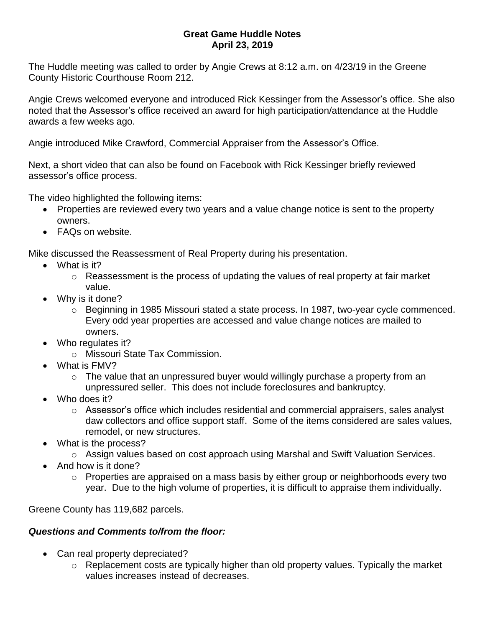## **Great Game Huddle Notes April 23, 2019**

The Huddle meeting was called to order by Angie Crews at 8:12 a.m. on 4/23/19 in the Greene County Historic Courthouse Room 212.

Angie Crews welcomed everyone and introduced Rick Kessinger from the Assessor's office. She also noted that the Assessor's office received an award for high participation/attendance at the Huddle awards a few weeks ago.

Angie introduced Mike Crawford, Commercial Appraiser from the Assessor's Office.

Next, a short video that can also be found on Facebook with Rick Kessinger briefly reviewed assessor's office process.

The video highlighted the following items:

- Properties are reviewed every two years and a value change notice is sent to the property owners.
- FAQs on website.

Mike discussed the Reassessment of Real Property during his presentation.

- What is it?
	- o Reassessment is the process of updating the values of real property at fair market value.
- Why is it done?
	- $\circ$  Beginning in 1985 Missouri stated a state process. In 1987, two-year cycle commenced. Every odd year properties are accessed and value change notices are mailed to owners.
- Who regulates it?
	- o Missouri State Tax Commission.
- What is FMV?
	- $\circ$  The value that an unpressured buyer would willingly purchase a property from an unpressured seller. This does not include foreclosures and bankruptcy.
- Who does it?
	- $\circ$  Assessor's office which includes residential and commercial appraisers, sales analyst daw collectors and office support staff. Some of the items considered are sales values, remodel, or new structures.
- What is the process?
	- o Assign values based on cost approach using Marshal and Swift Valuation Services.
- And how is it done?
	- $\circ$  Properties are appraised on a mass basis by either group or neighborhoods every two year. Due to the high volume of properties, it is difficult to appraise them individually.

Greene County has 119,682 parcels.

## *Questions and Comments to/from the floor:*

- Can real property depreciated?
	- o Replacement costs are typically higher than old property values. Typically the market values increases instead of decreases.